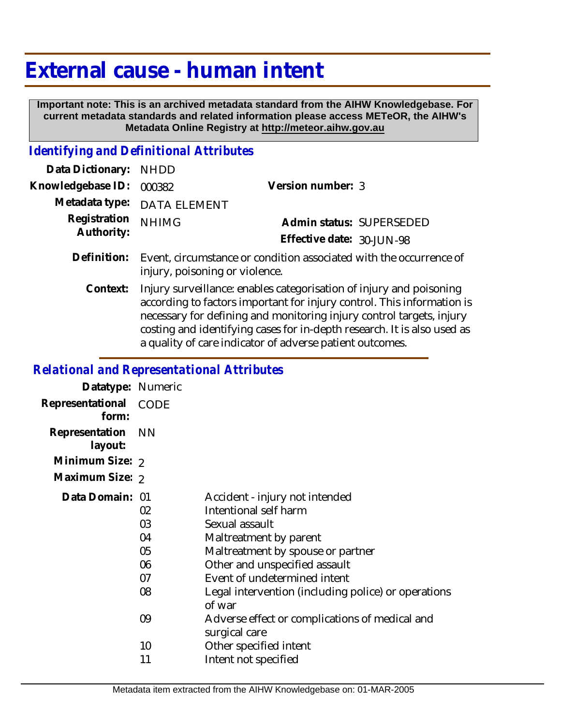## **External cause - human intent**

 **Important note: This is an archived metadata standard from the AIHW Knowledgebase. For current metadata standards and related information please access METeOR, the AIHW's Metadata Online Registry at http://meteor.aihw.gov.au**

## *Identifying and Definitional Attributes*

| Data Dictionary: NHDD            |                                                                                |                           |                          |
|----------------------------------|--------------------------------------------------------------------------------|---------------------------|--------------------------|
| Knowledgebase ID: 000382         |                                                                                | Version number: 3         |                          |
|                                  | Metadata type: DATA ELEMENT                                                    |                           |                          |
| Registration NHIMG<br>Authority: |                                                                                |                           | Admin status: SUPERSEDED |
|                                  |                                                                                | Effective date: 30-JUN-98 |                          |
|                                  | Definition: Event, circumstance or condition associated with the occurrence of |                           |                          |

injury, poisoning or violence.

Injury surveillance: enables categorisation of injury and poisoning according to factors important for injury control. This information is necessary for defining and monitoring injury control targets, injury costing and identifying cases for in-depth research. It is also used as a quality of care indicator of adverse patient outcomes. **Context:**

## *Relational and Representational Attributes*

| Datatype: Numeric         |           |                                                     |
|---------------------------|-----------|-----------------------------------------------------|
| Representational<br>form: | CODE      |                                                     |
| Representation<br>layout: | <b>NN</b> |                                                     |
| Minimum Size: 2           |           |                                                     |
| Maximum Size: 2           |           |                                                     |
| Data Domain: 01           |           | Accident - injury not intended                      |
|                           | 02        | Intentional self harm                               |
|                           | 03        | Sexual assault                                      |
|                           | 04        | Maltreatment by parent                              |
|                           | 05        | Maltreatment by spouse or partner                   |
|                           | 06        | Other and unspecified assault                       |
|                           | 07        | Event of undetermined intent                        |
|                           | 08        | Legal intervention (including police) or operations |
|                           |           | of war                                              |
|                           | 09        | Adverse effect or complications of medical and      |
|                           |           | surgical care                                       |
|                           | 10        | Other specified intent                              |
|                           | 11        | Intent not specified                                |